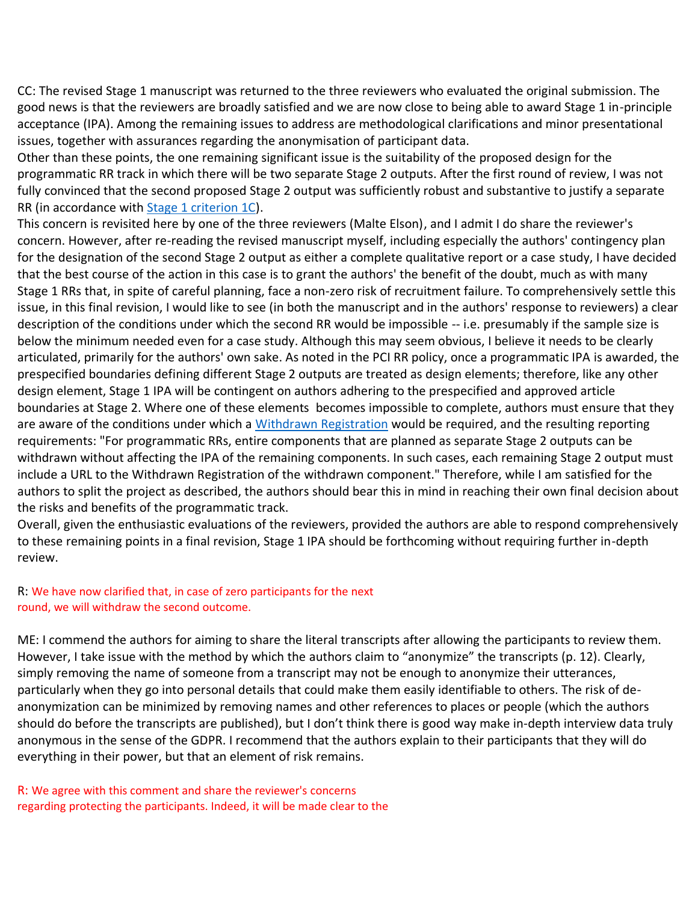CC: The revised Stage 1 manuscript was returned to the three reviewers who evaluated the original submission. The good news is that the reviewers are broadly satisfied and we are now close to being able to award Stage 1 in-principle acceptance (IPA). Among the remaining issues to address are methodological clarifications and minor presentational issues, together with assurances regarding the anonymisation of participant data.

Other than these points, the one remaining significant issue is the suitability of the proposed design for the programmatic RR track in which there will be two separate Stage 2 outputs. After the first round of review, I was not fully convinced that the second proposed Stage 2 output was sufficiently robust and substantive to justify a separate RR (in accordance with [Stage 1 criterion 1C\)](https://rr.peercommunityin.org/help/guide_for_authors#h_6720026472751613309075757).

This concern is revisited here by one of the three reviewers (Malte Elson), and I admit I do share the reviewer's concern. However, after re-reading the revised manuscript myself, including especially the authors' contingency plan for the designation of the second Stage 2 output as either a complete qualitative report or a case study, I have decided that the best course of the action in this case is to grant the authors' the benefit of the doubt, much as with many Stage 1 RRs that, in spite of careful planning, face a non-zero risk of recruitment failure. To comprehensively settle this issue, in this final revision, I would like to see (in both the manuscript and in the authors' response to reviewers) a clear description of the conditions under which the second RR would be impossible -- i.e. presumably if the sample size is below the minimum needed even for a case study. Although this may seem obvious, I believe it needs to be clearly articulated, primarily for the authors' own sake. As noted in the PCI RR policy, once a programmatic IPA is awarded, the prespecified boundaries defining different Stage 2 outputs are treated as design elements; therefore, like any other design element, Stage 1 IPA will be contingent on authors adhering to the prespecified and approved article boundaries at Stage 2. Where one of these elements becomes impossible to complete, authors must ensure that they are aware of the conditions under which a [Withdrawn Registration](https://rr.peercommunityin.org/help/guide_for_authors#h_52668400125171613309566678) would be required, and the resulting reporting requirements: "For programmatic RRs, entire components that are planned as separate Stage 2 outputs can be withdrawn without affecting the IPA of the remaining components. In such cases, each remaining Stage 2 output must include a URL to the Withdrawn Registration of the withdrawn component." Therefore, while I am satisfied for the authors to split the project as described, the authors should bear this in mind in reaching their own final decision about the risks and benefits of the programmatic track.

Overall, given the enthusiastic evaluations of the reviewers, provided the authors are able to respond comprehensively to these remaining points in a final revision, Stage 1 IPA should be forthcoming without requiring further in-depth review.

## R: We have now clarified that, in case of zero participants for the next round, we will withdraw the second outcome.

ME: I commend the authors for aiming to share the literal transcripts after allowing the participants to review them. However, I take issue with the method by which the authors claim to "anonymize" the transcripts (p. 12). Clearly, simply removing the name of someone from a transcript may not be enough to anonymize their utterances, particularly when they go into personal details that could make them easily identifiable to others. The risk of deanonymization can be minimized by removing names and other references to places or people (which the authors should do before the transcripts are published), but I don't think there is good way make in-depth interview data truly anonymous in the sense of the GDPR. I recommend that the authors explain to their participants that they will do everything in their power, but that an element of risk remains.

R: We agree with this comment and share the reviewer's concerns regarding protecting the participants. Indeed, it will be made clear to the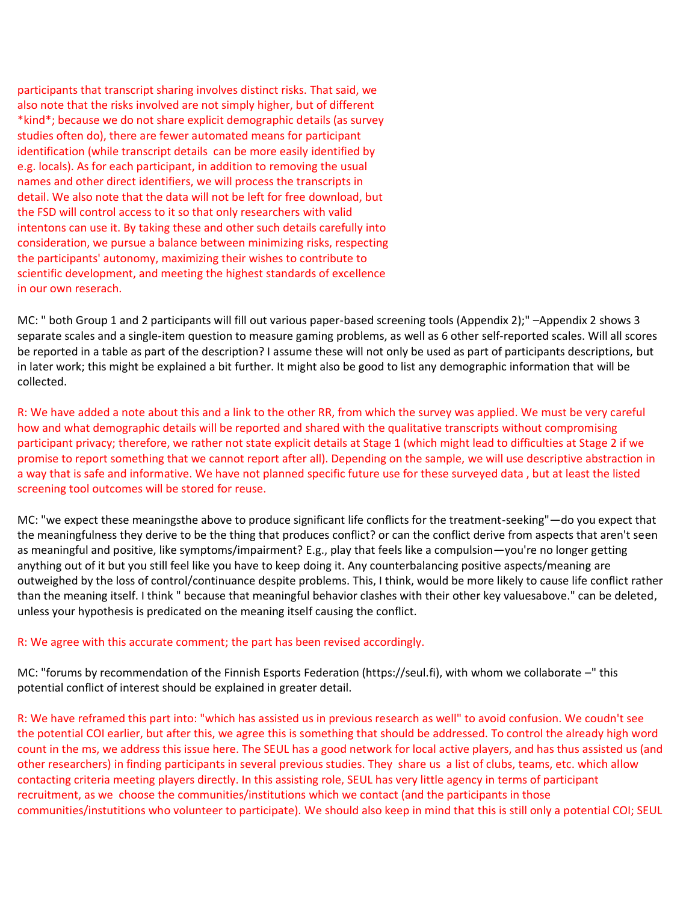participants that transcript sharing involves distinct risks. That said, we also note that the risks involved are not simply higher, but of different \*kind\*; because we do not share explicit demographic details (as survey studies often do), there are fewer automated means for participant identification (while transcript details can be more easily identified by e.g. locals). As for each participant, in addition to removing the usual names and other direct identifiers, we will process the transcripts in detail. We also note that the data will not be left for free download, but the FSD will control access to it so that only researchers with valid intentons can use it. By taking these and other such details carefully into consideration, we pursue a balance between minimizing risks, respecting the participants' autonomy, maximizing their wishes to contribute to scientific development, and meeting the highest standards of excellence in our own reserach.

MC: " both Group 1 and 2 participants will fill out various paper-based screening tools (Appendix 2);" –Appendix 2 shows 3 separate scales and a single-item question to measure gaming problems, as well as 6 other self-reported scales. Will all scores be reported in a table as part of the description? I assume these will not only be used as part of participants descriptions, but in later work; this might be explained a bit further. It might also be good to list any demographic information that will be collected.

R: We have added a note about this and a link to the other RR, from which the survey was applied. We must be very careful how and what demographic details will be reported and shared with the qualitative transcripts without compromising participant privacy; therefore, we rather not state explicit details at Stage 1 (which might lead to difficulties at Stage 2 if we promise to report something that we cannot report after all). Depending on the sample, we will use descriptive abstraction in a way that is safe and informative. We have not planned specific future use for these surveyed data , but at least the listed screening tool outcomes will be stored for reuse.

MC: "we expect these meaningsthe above to produce significant life conflicts for the treatment-seeking"—do you expect that the meaningfulness they derive to be the thing that produces conflict? or can the conflict derive from aspects that aren't seen as meaningful and positive, like symptoms/impairment? E.g., play that feels like a compulsion—you're no longer getting anything out of it but you still feel like you have to keep doing it. Any counterbalancing positive aspects/meaning are outweighed by the loss of control/continuance despite problems. This, I think, would be more likely to cause life conflict rather than the meaning itself. I think " because that meaningful behavior clashes with their other key valuesabove." can be deleted, unless your hypothesis is predicated on the meaning itself causing the conflict.

## R: We agree with this accurate comment; the part has been revised accordingly.

MC: "forums by recommendation of the Finnish Esports Federation (https://seul.fi), with whom we collaborate –" this potential conflict of interest should be explained in greater detail.

R: We have reframed this part into: "which has assisted us in previous research as well" to avoid confusion. We coudn't see the potential COI earlier, but after this, we agree this is something that should be addressed. To control the already high word count in the ms, we address this issue here. The SEUL has a good network for local active players, and has thus assisted us (and other researchers) in finding participants in several previous studies. They share us a list of clubs, teams, etc. which allow contacting criteria meeting players directly. In this assisting role, SEUL has very little agency in terms of participant recruitment, as we choose the communities/institutions which we contact (and the participants in those communities/instutitions who volunteer to participate). We should also keep in mind that this is still only a potential COI; SEUL